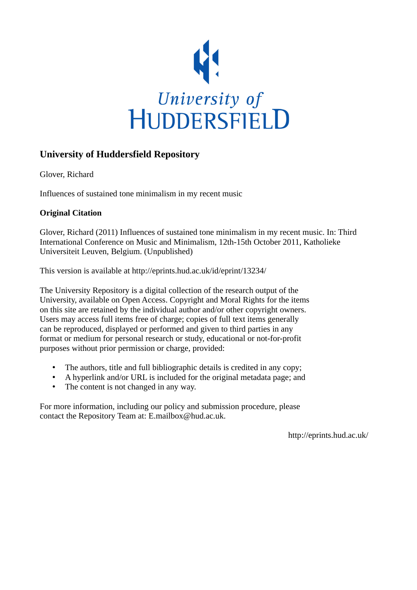

# **University of Huddersfield Repository**

Glover, Richard

Influences of sustained tone minimalism in my recent music

## **Original Citation**

Glover, Richard (2011) Influences of sustained tone minimalism in my recent music. In: Third International Conference on Music and Minimalism, 12th-15th October 2011, Katholieke Universiteit Leuven, Belgium. (Unpublished)

This version is available at http://eprints.hud.ac.uk/id/eprint/13234/

The University Repository is a digital collection of the research output of the University, available on Open Access. Copyright and Moral Rights for the items on this site are retained by the individual author and/or other copyright owners. Users may access full items free of charge; copies of full text items generally can be reproduced, displayed or performed and given to third parties in any format or medium for personal research or study, educational or not-for-profit purposes without prior permission or charge, provided:

- The authors, title and full bibliographic details is credited in any copy;
- A hyperlink and/or URL is included for the original metadata page; and
- The content is not changed in any way.

For more information, including our policy and submission procedure, please contact the Repository Team at: E.mailbox@hud.ac.uk.

http://eprints.hud.ac.uk/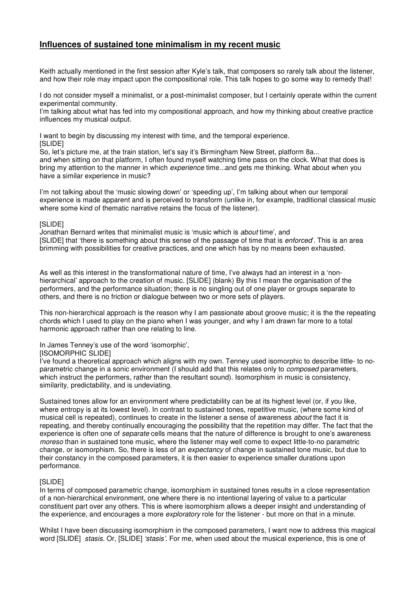### **Influences of sustained tone minimalism in my recent music**

Keith actually mentioned in the first session after Kyle's talk, that composers so rarely talk about the listener, and how their role may impact upon the compositional role. This talk hopes to go some way to remedy that!

I do not consider myself a minimalist, or a post-minimalist composer, but I certainly operate within the current experimental community.

I'm talking about what has fed into my compositional approach, and how my thinking about creative practice influences my musical output.

I want to begin by discussing my interest with time, and the temporal experience. **ISLIDEI** 

So, let's picture me, at the train station, let's say it's Birmingham New Street, platform 8a... and when sitting on that platform, I often found myself watching time pass on the clock. What that does is bring my attention to the manner in which *experience* time...and gets me thinking. What about when you have a similar experience in music?

I'm not talking about the 'music slowing down' or 'speeding up', I'm talking about when our temporal experience is made apparent and is perceived to transform (unlike in, for example, traditional classical music where some kind of thematic narrative retains the focus of the listener).

#### [SLIDE]

Jonathan Bernard writes that minimalist music is 'music which is about time', and [SLIDE] that 'there is something about this sense of the passage of time that is *enforced*. This is an area brimming with possibilities for creative practices, and one which has by no means been exhausted.

As well as this interest in the transformational nature of time, I've always had an interest in a 'nonhierarchical' approach to the creation of music. [SLIDE] (blank) By this I mean the organisation of the performers, and the performance situation; there is no singling out of one player or groups separate to others, and there is no friction or dialogue between two or more sets of players.

This non-hierarchical approach is the reason why I am passionate about groove music; it is the the repeating chords which I used to play on the piano when I was younger, and why I am drawn far more to a total harmonic approach rather than one relating to line.

In James Tenney's use of the word 'isomorphic',

[ISOMORPHIC SLIDE]

I've found a theoretical approach which aligns with my own. Tenney used isomorphic to describe little- to noparametric change in a sonic environment (I should add that this relates only to *composed* parameters, which instruct the performers, rather than the resultant sound). Isomorphism in music is consistency, similarity, predictability, and is undeviating.

Sustained tones allow for an environment where predictability can be at its highest level (or, if you like, where entropy is at its lowest level). In contrast to sustained tones, repetitive music, (where some kind of musical cell is repeated), continues to create in the listener a sense of awareness about the fact it is repeating, and thereby continually encouraging the possibility that the repetition may differ. The fact that the experience is often one of *separate* cells means that the nature of difference is brought to one's awareness moreso than in sustained tone music, where the listener may well come to expect little-to-no parametric change, or isomorphism. So, there is less of an expectancy of change in sustained tone music, but due to their constancy in the composed parameters, it is then easier to experience smaller durations upon performance.

#### [SLIDE]

In terms of composed parametric change, isomorphism in sustained tones results in a close representation of a non-hierarchical environment, one where there is no intentional layering of value to a particular constituent part over any others. This is where isomorphism allows a deeper insight and understanding of the experience, and encourages a more *exploratory* role for the listener - but more on that in a minute.

Whilst I have been discussing isomorphism in the composed parameters, I want now to address this magical word [SLIDE] stasis. Or, [SLIDE] 'stasis'. For me, when used about the musical experience, this is one of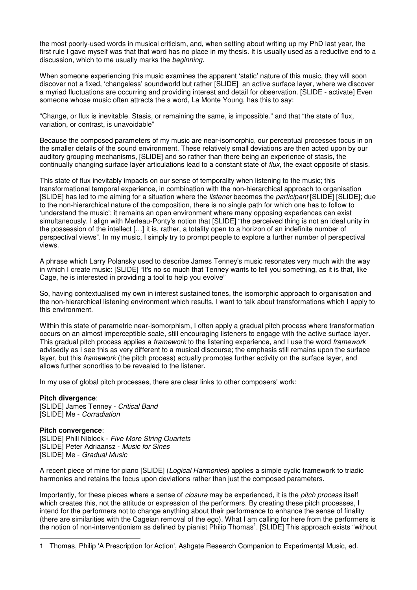the most poorly-used words in musical criticism, and, when setting about writing up my PhD last year, the first rule I gave myself was that that word has no place in my thesis. It is usually used as a reductive end to a discussion, which to me usually marks the beginning.

When someone experiencing this music examines the apparent 'static' nature of this music, they will soon discover not a fixed, 'changeless' soundworld but rather [SLIDE] an active surface layer, where we discover a myriad fluctuations are occurring and providing interest and detail for observation. [SLIDE - activate] Even someone whose music often attracts the s word, La Monte Young, has this to say:

"Change, or flux is inevitable. Stasis, or remaining the same, is impossible." and that "the state of flux, variation, or contrast, is unavoidable"

Because the composed parameters of my music are near-isomorphic, our perceptual processes focus in on the smaller details of the sound environment. These relatively small deviations are then acted upon by our auditory grouping mechanisms, [SLIDE] and so rather than there being an experience of stasis, the continually changing surface layer articulations lead to a constant state of flux, the exact opposite of stasis.

This state of flux inevitably impacts on our sense of temporality when listening to the music; this transformational temporal experience, in combination with the non-hierarchical approach to organisation [SLIDE] has led to me aiming for a situation where the *listener* becomes the *participant* [SLIDE] [SLIDE]; due to the non-hierarchical nature of the composition, there is no single path for which one has to follow to 'understand the music'; it remains an open environment where many opposing experiences can exist simultaneously. I align with Merleau-Ponty's notion that [SLIDE] "the perceived thing is not an ideal unity in the possession of the intellect […] it is, rather, a totality open to a horizon of an indefinite number of perspectival views". In my music, I simply try to prompt people to explore a further number of perspectival views.

A phrase which Larry Polansky used to describe James Tenney's music resonates very much with the way in which I create music: [SLIDE] "It's no so much that Tenney wants to tell you something, as it is that, like Cage, he is interested in providing a tool to help you evolve"

So, having contextualised my own in interest sustained tones, the isomorphic approach to organisation and the non-hierarchical listening environment which results, I want to talk about transformations which I apply to this environment.

Within this state of parametric near-isomorphism, I often apply a gradual pitch process where transformation occurs on an almost imperceptible scale, still encouraging listeners to engage with the active surface layer. This gradual pitch process applies a *framework* to the listening experience, and I use the word *framework* advisedly as I see this as very different to a musical discourse; the emphasis still remains upon the surface layer, but this *framework* (the pitch process) actually promotes further activity on the surface layer, and allows further sonorities to be revealed to the listener.

In my use of global pitch processes, there are clear links to other composers' work:

#### **Pitch divergence**:

[SLIDE] James Tenney - Critical Band [SLIDE] Me - Corradiation

#### **Pitch convergence**:

**ISLIDEI Phill Niblock - Five More String Quartets** [SLIDE] Peter Adriaansz - Music for Sines [SLIDE] Me - Gradual Music

A recent piece of mine for piano [SLIDE] (Logical Harmonies) applies a simple cyclic framework to triadic harmonies and retains the focus upon deviations rather than just the composed parameters.

Importantly, for these pieces where a sense of *closure* may be experienced, it is the *pitch process* itself which creates this, not the attitude or expression of the performers. By creating these pitch processes, I intend for the performers not to change anything about their performance to enhance the sense of finality (there are similarities with the Cageian removal of the ego). What I am calling for here from the performers is the notion of non-interventionism as defined by pianist Philip Thomas<sup>1</sup>. [SLIDE] This approach exists "without  $\overline{a}$ 

<sup>1</sup> Thomas, Philip 'A Prescription for Action', Ashgate Research Companion to Experimental Music, ed.